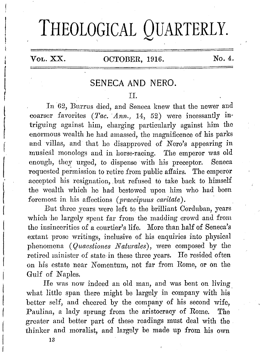# **THEOLOGICAL QUARTERLY.**

l  $\vert$  $\vert$ r !

 $\overline{\phantom{a}}$ 

 $\vert$ 

 $\begin{array}{c} \begin{array}{c} \begin{array}{c} \end{array} \\ \begin{array}{c} \end{array} \end{array} \end{array}$ 

t  $\left($ 

# VoL. XX. OCTOBER, 1916. No. 4.

# SENECA AND NERO.

#### II.

In 62, Burrus died, and Seneca knew that the newer and coarser favorites *(Tac. Ann.,* 14, 52) were incessantly intriguing against him, charging particularly against him the enormous wealth he had amassed, the magnificence of his parks and villas, and that he disapproved of Nero's appearing in musical monologs and in horse-racing. The emperor was old enough, they urged, to dispense with his preceptor. Seneca requested permission to retire from public affairs. The emperor accepted his resignation, but refused to take back to himself the wealth which ho had bestowed upon him who had been foremost in his affections *(praecipuus caritate* ). '

But three years were left to the brilliant Oorduban, years which he largely spent far from the madding crowd and from the insincerities of a courtier's life. More than half of Seneca's extant prose writings, inclusive of his enquiries into physical phenomena ( *Quaestiones N aturales),* were composed by the retired minister of state in these three years. He resided often on his estate near Nomentum, not far from Rome, or on the Gulf of Naples.

He was now indeed an old man, and was bent on living what little span there might be largely in company with his better self, and cheered by the company of his second wife. Paulina, a lady sprung from the aristocracy of Rome. The greater and better part of these readings must deal with the thinker and moralist, and largely be made up from his own

13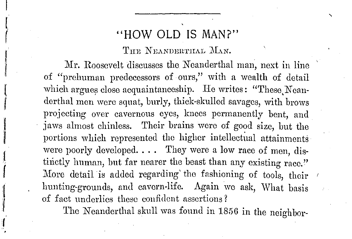# **"HOW OLD** IS MAN?"

I

t. (

I 1! ( I

'I *ii*  :I (

**l**  'I **r** 

THE NEANDERTHAL MAN.

Mr. Roosevelt discusses the Neanderthal man, next in line of "prchuman predecessors of ours," with a wealth of detail which argues close acquaintanceship. He writes: "These Neanderthal men were squat, burly, thick-skulled savages, with brows projecting over cavernous eyes, knees permanently bent, and jaws almost chinless. Their brains were of good size, but the portions which represented the higher intellectual attainments were poorly developed.  $\dots$  They were a low race of men, distinctly human, but far nearer the beast than any existing race." More detail is added regarding the fashioning of tools, their *1* hunting-grounds, and cavern-life. Again we ask, What basis of fact underlies these confident assertions?

The Neanderthal skull was found in 1856 in the neighbor-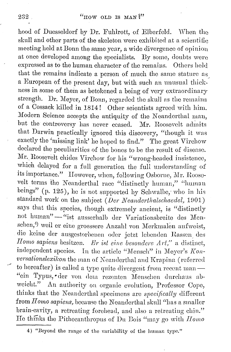hood of Duesseldorf by Dr. Fuhlrott, of Elberfeld. When tho skull and other parts of the skeleton were exhibited at a scientific meeting held at Bonn the same year, a wide divergence of opinion at once developed among the specialists. By some, doubts were expressed as to the human character of the remains. Others held that the remains indicate a person of much the same stature as\_ a European of the present day, but with such an unusual thickness in some of them as betokened a being of very extraordinary strength. Dr. Meyer, of Bonn, regarded the skull as the remains of a Cossack killed in 1814 ! Other scientists agreed with him. Modern Science accepts the antiquity of tho Neanderthal man, but the controversy has never ceased. Mr. Roosevelt admits that Darwin practically ignored this discovery, "though it was exactly the 'missing link' he hoped to find." The great Virchow declared the peculiarities of the bones to be the result of disease. Mr. Roosevelt chides Virchow for his "wrong-headed insistence, which delayed for a full generation the full understanding of its importance." However, when, following Osborne, Mr. Roosevelt terms the Neanderthal race "distinctly human," "human beings" (p. 125), he is not supported by Schwalbe, who in his standard work on the subject (*Der Neanderthalschaedel*, 1901) says that this species, though extremely ancient, is "distinctly not human" - "ist ausserhalb der Variationsbreite des Menschen,<sup>4)</sup> weil er eine groessere Anzahl von Merkmalen aufweist, die keine der ausgestorbenen oder jetzt lebenden Rassen des *Homo sapiens besitzen. Er ist eine besondere Art,*" a distinct, independent species. In the article "Mensch" in Meyer's Kon*versationslexikon* the man of Neanderthal and Krapina (referred to hereafter) is called a type quite divergent from recent man  $-$ "ein Typus, "der von dem rezenten Menschen durchaus abweicht." An authority on organic evolution, Professor Cope, thinks that the Neanderthal specimens are *specifically* different from *Homo sapiens*, because the Neanderthal skull "has a smaller brain-cavity, a retreating forehead, and also a retreating chin." He thinks the Pithecanthropus of Du Bois "may go with *Homo* 

<sup>4) &</sup>quot;Beyond the range of the variability of the human type."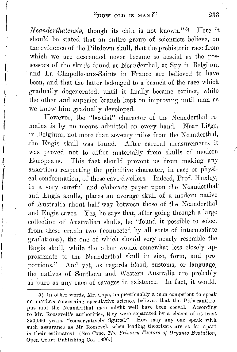f

 $\vert$ 

I l I I (

( (

l I (

 $\begin{bmatrix} 1 \\ 1 \end{bmatrix}$ 

I

|<br>|<br>|<br>|

1/ I r

I ,\_. I I

*Neanderthalensis*, though its chin is not known."<sup>5)</sup> ) Hero it should be stated that an entire group of scientists believe, on the evidence of the Piltdown skull, that the prehistoric race from which we are descended never became so bestial as the possessors of tho skulls found at Neanderthal, at Spy in Belgium, and La Chapelle-aux-Saints in France are believed to have been, and that the latter belonged to a branch of the race which gradually degenerated, until it finally became extinct, while the other and superior branch kept on improving until man as we know him gradually developed.

However, the "bestial" character of the Neanderthal remains is by no means admitted on every hand. Near Liège, in Belgium, not more than seventy miles from the Neanderthal, the Engis skull was found. After careful measurements it was proved not to differ materially from skulls of modern Enropeans. This fact should prevent us from making any assertions respecting the primitive character, in race or physical conformation, of these cave-dwellers. Indeed, Prof. Huxley, in a very careful and elaborate paper upon the Neanderthal' and Engis sknlls, places an average skull of a modern native ' of Australia about half-way between those of the *N* oanderthal and Engis caves. Yes, he says that, after going through a largo collection of Australian sknlls, he "found it possible to select from these crania two ( connected by all sorts of intermediate gradations), the one of which should very nearly resemble the Engis skull, while the other would somewhat less closely approximate to the Neanderthal skull in size, form, and proportions." And yet, as regards blood, customs, or language, the natives of Southern and Western Australia are probably as pure as any race of savages in existence. In fact, it would,

<sup>15)</sup> In other words, **llfr.** Cope, unquestionably a man competent to speak on matters concerning speculative science, believes that the Pithecanthropus and the Neanderthal man might well have been coeval. According to Mr. Roosevelt's authorities, they were separated by a chasm of at least 3150,000 years, "conservatively figured." How may any one speak with such assurance as Mr Roosevelt when leading theorizers are so far apart in their estimates? (See Cope, *The Primary Factors of Organic Evolution*, Open Court Publishing Co., 1806.)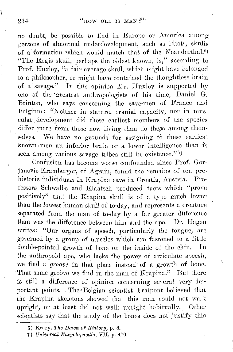### 234 " $\mu$  "now OLD IS MAN ?".

no doubt, be possible to find in Europe or America among persons of abnormal underdevelopment, such as idiots, skulls of a formation which would match that of the Neanderthal.<sup>6)</sup> "The Engis skull, perhaps the oldest known, is," according to Pro£. Huxley, "a fair average skull, which might have belonged to a philosopher, or might have contained the thoughtless brain of a savage." In this opinion Mr. Huxley is supported by one of the · greatest anthropologists of his time, Daniel G. Brinton, who says concerning the cave-men of France and Belgium: "Neither in statnre, cranial capacity, nor in muscular, development did these earliest members of the species differ more from those now living than do these among themselves. We have no grounds for assigning to these earliest known, men an inferior brain or a lower intelligence than is seen among various savage tribes still in existence."<sup>7</sup>

Confusion has become worse confounded since Prof. Gorjanovic-Kramberger, of Agrain, found the remains of ten prehistoric individuals in Krapina cave in Croatia, Austria. Professors Schwalbe and Klaatsch produced facts which "prove positively" that the Krapina skull is of a type much lower than the lowest human skull of to-day, and represents a creature separated from the man of to-day by a far greater difference than was the difference between him and the ape. Dr. Hagen writes: "Our organs of speech, particularly the tongue, are governed by a group of muscles which are fastened to a little double-pointed growth of bone on the inside of the chin. In the anthropoid ape, who lacks the power of articulate speech, we find a *groove* in that place instead· of a growth of bone. That same groove we find in the man of Krapina." But there is still a difference of opinion concerning several very important points. The Belgian scientist Fraipont believed that the Krapina skeletons showed that this man could not walk upright, or at least did not walk upright habitually. Other scientists say that the study of the bones does not justify this

<sup>6)</sup> Keary, *The Dawn of History*, p. 8.

<sup>7)</sup> *Universal Bnvyclopaedia,* VII, p. 470.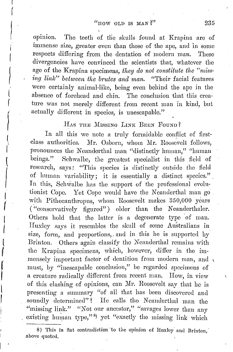$\lambda$ 

!  $\mathbf{I}_{\mathbf{r}}$ 

 $\left( \begin{array}{c} \ddots \\ \vdots \\ \vdots \end{array} \right)$ 

( I

/ ( f

f

I\_  $\mathfrak{f}^-$ 

{

 $\vert$ 

I  $\mathfrak{f}$ 

( !(

opinion. The teeth of the skulls found at Krapina are of immense size, greater even than those of the ape, and 'in some respects differing from the dentation of modem man. These divergencies have convinced the scientists that, whatever the age of the Krapina specimens, *they do not constitute the "missing link*" between the brutes and man. "Their facial features were certainly animal-like, being even behind the ape in the absence of forehead and chin. The conclusion that tliis creature was not merely different from recent man in kind, but actually different in species, is unescapablc."

### HAS THE MISSING LINK BEEN FOUND?

In all this we note a truly formidable conflict of firstclass authorities. Mr. Osborn, whom Mr. Roosevelt follows, pronounces the Neanderthal man "distinctly human," "human beings." Schwalbe, the greatest specialist in this field of research, says: "This species is distinctly outside tho field of human variability; it is essentially a distinct species." In this, Schwalbe has the support of the professional evolutionist Cope. Yet Cope would have the Neanderthal man go with Pithecanthropus, whom Roosevelt makes 350,000 years ("conservatively figured") older than the Neanderthaler. Others hold that the latter is a degenerate type of man. Huxley says it resembles the skull of some Australians in size, form, and proportions, and in this he is supported by Brinton. Others again classify the Neanderthal remains with the Krapina specimens, which, however, differ in the immensely important factor of dentition from modern man, and , must, by "inescapable conclusion," be regarded specimens of a creature radically different from recent man. How, in view of this clashing of opinions, can Mr. Roosevelt say that he is presenting a summary "of all that has been discovered and soundly determined"? He calls the Neanderthal man the "missing link." "Not our ancestor," "savages lower than any existing human type,"<sup>8</sup> yet "exactly the missing link which

8) This in flat contradiction to the opinion of Huxley and Brinton, above quoted.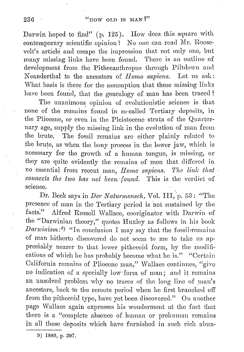Darwin hoped to find" (p. 125). How does this square with contemporary scientific opinion? No one can read Mr. Roosevelt's article and escape tho impression that not only one, but many missing links have been found. Thero is an outline of development from the Pithecanthropus through Piltdown and Neanderthal to the ancestors of *II omo sapiens.* Lot us ask: What basis is there for the assumption that these missing links have been found, that the genealogy of man has been traced?

The unanimous opinion of evolutionistic science is that none of the remains found in so-called Tertiary deposits, in the Pliocene, or oven in the Pleistocene strata of the Quarternary age, supply the missing link in the evolution of man fromthe brute. The fossil remains are either plainly related to the brute, as when the bony process in the lower jaw, which is necessary for tho growth of a human tongue, is missing, or they are quite evidently tho remains of men that differed in no essential from recent man, *Homo sapiens. The link that connects the two has not been found.* This is the verdict of science.

Dr. Beck says in *Der Naturmensch*, Vol. III, p. 53 : "The presence of man in tho Tertiary period is not sustained by the facts." Alfred Russell Wallace, cooriginator with Darwin of the "Darwinian theory," quotes Huxley as follows in his book *Darwinism*:<sup>9)</sup> "In conclusion I may say that the fossil-remains of man hitherto discovered do not seem to me to take ns appreciably nearer to that lower pithecoid form, by the modifications of which he has probably become what he is." "Certain California remains of Pliocene man," Wallace continues, "give no indication of a specially low form of man; and it remains an unsolved problem why no traces of the long line of man's ancestors, back to the remote period when he first branched off from the pithecoid type, have yet been discovered." On another page Wallace again expresses his wonderment at the fact that there is a "complete absence of human or prehuman remains in all those deposits which have furnished in such rich abun-

!J) 1889, p. 307.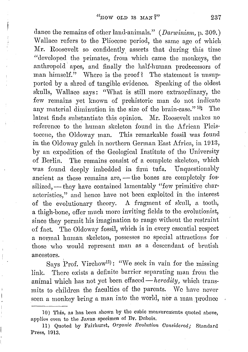ļ

dance the remains of other land-animals." *(Darwinism,* p. 300.) Wallace refers to tho Pliocene period, the same age of which Mr. Roosevelt so confidently. asserts that during this time "developed the primates, from which came the monkeys, the anthropoid· apes, and finally the half-human predecessors of man himself." Where is the proof? The statement is unsupported by a shred of tangible evidence. Speaking of the oldest skulls, Wallace says: "What is still more extraordinary, the few remains yet known of prehistoric man do not indicate any material diminution in the size of the brain-case."<sup>10</sup>) The latest finds substantiate this opinion. Mr. Roosevelt makes no reference to the human skeleton found in the African Pleistocene, the Oldoway man. This remarkable fossil was found in the Oldoway gulch in northern German East Africa, in 1013, by an expedition of the Geological Institute of the University of Berlin. The remains consist of a complete skeleton, which was found deeply imbedded in firm tufa. Unquestionably ancient as these remains are, - the bones are completely fossilized, — they have contained lamentably "few primitive characteristics," and hence have not been exploited in the interest of the evolutionary theory. A fragment of skull, a tooth, a thigh-bone, offer much more inviting fields to the evolutionist, since they permit his imagination to range without the restraint of fact. The Oldoway fossil, which is in every essential respect a normal human skeleton, possesses no special attractions for those who would represent man as a descendant of brutish ancestors.

Says Prof. Virchow11): "'We seek in vain for tho missing link. There exists a definite harrier separating man from the animal which has not yet been effaced- $heredity$ , which transmits to children the faculties of the parents. Wo have never seen a monkey bring a man into the world, nor a man produce

<sup>10)</sup> This, as has been shown by the cubic measurements quoted above, applies even to the Javan specimen of Dr. Dubois.

<sup>11)</sup> Quoted by Fairhurst, *Organic Evolution Considered;* Standard Press, 1013.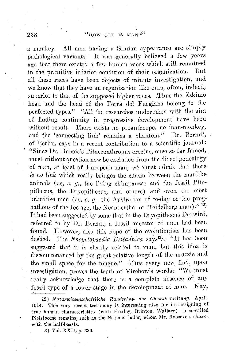a monkey. All men having a Simian appearance are simply pathological variants. It was generally believed. a few years ago that there existed a few human races which still remained in the primitive inferior condition of their organization. But all these races have been objects of minute investigation, and we know that they have an organization like ours, often, indeed, superior to that of the supposed higher races. .Thus the Eskimo head and tho head of the Terra dol Fuogians belong to the perfected types." "All the researches undertaken with the aim of finding continuity in progressive development have been without result. There exists no proanthrope, no man-monkey, and the 'connecting link' remains a phantom." Dr. Berndt, of Berlin, says in a recent contribution to a scientific journal: ' "Since Dr. Dubois's Pithecanthropus orectus, once so far famed, must without question now be excluded from the direct genealogy of man, at least of European man, we must admit that there is no link which really bridges the chasm between the manlike animals (as, *e. g.,* the living chimpanzee and tho fossil Pliopitheeus, the Dryopitheeus, and others) and even the most primitive men (as, *e. g.*, the Australian of to-day or the prognathous of the Ice age, the Neanderthal or Heidelberg man)."<sup>12)</sup> It had been suggested by some that in tho Dryopithecns Darwini, referred to by Dr. Berndt, a fossil ancestor of man had been found. However, also this hope of tho evolutionists has been dashed. The *Encyclopaedia Britannica* says<sup>13</sup>): "It has been suggested that it is clearly related to man, but this idea is discountenanced by the great relative length of the muzzle and the small space for the tongue." Thus every new find, upon investigation, proves the truth of Virchow's words: "We must really acknowledge that there is a complete absoncc of any fossil type of a lower stage in the development of man. Nay,

13) Vol. XXII, p. 336.

<sup>12)</sup> Naturwissenschaftliche Rundschau der Chemikerzeitung, April, 1914. This very recent testimony is interesting also for its assigning of true human characteristics (with Huxley, Brinton, Wallace) to so-called Pleistocene remains, such as the Neanderthaler, whom Mr. Roosevelt classes with the half-beasts.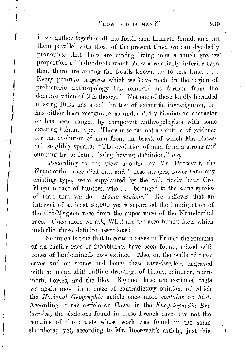if we gather together all the fossil men hitherto found, and put them parallel with those of the present time, we can decidedly pronounce that there are among living men a much greater' proportion of individuals which show a relatively inferior type than there are among the fossils known up to this time.... Every positive progress which we have made in the region of prehistoric anthropology has removed us farther from the demonstration of this theory." Not one of these loudly heralded missing links has stood the test of scientific investigation, but has either been recognized as undoubtedly Simian in character or has been ranged by competent anthropologists with some existing human type. There is so far not a scintilla of evidence for the evolution of man from the beast, of which Mr. Roosevelt so glibly speaks: "The evolution of man from a strong and cunning brute into a being having dominion," etc.

According to the view adopted by nfr. Roosevelt, the Neanderthal race died out, and "these savages, lower than any existing type, were supplanted by the tall, finely built Cro-Mngnon race of hunters, who ... belonged to the same species of man that we *do-IJomo sapiens."* Ho believes that an interval of at least 25,000 years separated the immigration of the Cro-Magnon race from the appearance of the Neanderthal race. Once more we ask, What are the ascertained facts which underlie these definite assertions? '

 $\vert$ 

I  $\left($  $\int$ 

r

( I

I

~ *i*  i,i f (  $\int_{-\infty}^{\infty}$ 

I I I  $\mathbf{I}$ ! I i  $\vert$ I I

So much is true that in certain caves in France the remains of nn earlier raec of inhabitants have been found, mixed with bones of land-animals now extinct. Also, on the walls of these caves and on stones and bones these cave-dwellers engraved with no mean skill outline drawings of bisons, reindeer, mammoth, horses, and the like. Beyond these unquestioned facts <sup>~</sup>we again move in a maze of contradictory opinion, of which the *National Geographic* article once more *contains no hint.*  According to the article on Caves in the *Rncyclopaedia Britannica*, the skeletons found in these French caves are not the remains of the artists whose work was found in the same chambers; yet, according to Mr. Roosevelt's article, just this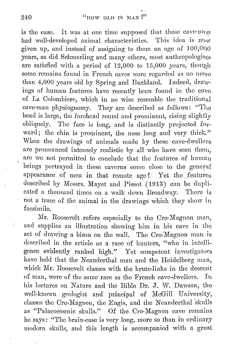# 240  $\frac{u_{\text{IIOW OLD}}}{v_{\text{IIOW OLD}}}}$  is MAN ?"

is the case. It was at one time supposed that these cave- $m_{\text{on}}$ <br>had well-developed animal characteristics. This idea is  $n_{\text{ow}}$ had well-developed animal characteristics. given up, and instead of assigning to them an age of  $100,000$ years, as did Schmerling and many others, most anthropologists are satisfied with a period of  $12,000$  to  $15,000$  years, though some remains found in French caves were regarded as no more than 4,000 years old by Spring and Buckland. Indeed, drawings of human features have recently been found in tho cave of La Colombiere, which in no wise resemble the traditional cave-man physiognomy. They arc described as follows: "The head is large, the forehead round and prominent, rising slightly obliquely. Tho face is long, and is distinctly projected fotward; the chin is prominent, the nose long and very thick." When the drawings of animals made by these cave-dwellers are pronounced intensely realistic by all who have seen them, are we not permitted to conclude that the features of human beings portrayed in these caverns come close to the general appearance of men in that remote  $age?$  Yet the features described by Messrs. Mayet and Pissot (1913) can be duplicated a thousand times on a walk down Broadway. There is not a trace of the animal in the drawings which they show in facsimile.

Mr. Roosevelt refers especially to the Cro-Magnon man, and supplies an illustration showing him in his cave in the act of drawing a bison on the wall. The Cro-Magnon man is described in the article as a race of hunters, "who in intelligence evidently ranked high." Yet competent investigators have held that the Neanderthal man and the Heidelberg man, which Mr. Roosevelt classes with the brute-links in the descent of man, were of the same race as the French cave-dwellers. In his lectures on Nature and the Bible Dr. J. W. Dawson, the well-known geologist and principal of McGill University, classes the Cro-Mngnon, the Engis, and the Neanderthal 'skulls as "Palaeocosmic skulls." Of the Cro-Magnon cave remains he says: "The brain-case is very long, more so than in ordinary modern skulls, and this length is accompanied with a great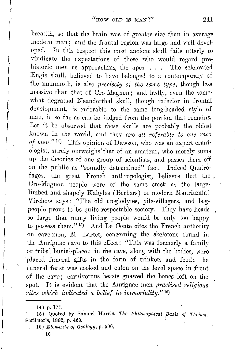breadth, so that the brain was of greater size than in average modern man; and the frontal region was large and well developed. Iu this respect this most ancient skull fails utterly to vindicate the expectations of those who would regard prehistoric men as approaching the apes. . . . The celebrated Engis skull, believed to have belonged to a contemporary of the mammoth, is also *precisely of the same type,* though less massive than that of Oro-Magnon; and lastly, even the some· what degraded Neanderthal skull, though inferior in frontal development, is referable to the same long-headed style of man, in so far as can be judged from the portion that remains. Let it be observed that these skulls are probably the oldest known iu the world, and they are *all referable* to *one race of men.*"<sup>14</sup>) This opinion of Dawson, who was an expert craniologist, surely outweighs that of an amateur, who merely sums up the theories of one group of scientists, and passes them off on the public as "soundly determined" fact. Indeed Quatrefages, the great French anthropologist, believes that the . Cro-Magnon people were of the same stock as the largelimbed and shapely Kabyles (Berbers) of modern Mauritania! Virchow says: "The old troglodytes, pile-villagers, and bogpeople prove to be quite respectable society. They have heads so large that many living people would be only too happy to possess them." 15) And Le Conte cites the French authority on cave-men, M. Lartet, concerning the skeletons found in the Anrignac cave to this effect: "This was formerly a family or tribal burial-place; in the cave, along with the bodies, were 'placed funeral gifts in the form of trinkets and food; the funeral feast was cooked and eaten on the level space in front of the cave; carnivorous beasts gnawed the bones left on the spot. It is evident that the Aurignac men *practised religious rites which indicated a belief in immortality."* 16)

 $\mathbf{I}$  $\vert$  $\left($ I I I

!'  $\int$ 

i' I  $\left| \right|$ f  $\int$ 

16) *Elements of Geology,* p. 596.

**<sup>14)</sup>** p. **171.** 

<sup>15)</sup> Quoted by Samuel Harris, *The Philosophical Basis of Theism.* Scribner's, 1892, p. 460.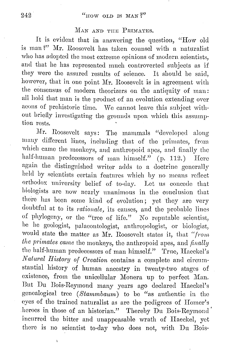#### MAN AND THE PRIMATES.

It is evident that in answering the question, "How old is man'?'' Mr. Roosevelt has taken counsel with a naturalist who has adopted the most extreme opinions of modern scientists, and that he has represented much controverted subjects as if they were the assured results of science. It should be said, however, that in one point Mr. Roosevelt is in agreement with the consensus of modern theorizers on the antiquity of man: all hold that man is the product of an evolution extending over aeons of prehistoric time. We cannot leave this subject without briefly investigating the grounds upon which this assumption rests.

Mr. Roosevelt says: The mammals "developed along many different lines, including that of the primates, from which came the monkeys, and anthropoid apes, and finally the half-human predecessors of man himself." (p. 112.) Here again the distinguished writer adds to a doctrine generally held by scientists certain features which by no means reflect orthodox university belief of to-day. Lot us concede that biologists are now nearly unanimous in the conclusion that there has been some kind of evolution; yet they are very doubtful at to its *rationale*, its causes, and the probable lines of phylogeny, or tho "tree of life." No reputable scientist, he ho geologist, palaeontologist, anthropologist, or biologist, would state the matter as Mr. Roosevelt states it, that "from *the primates came the monkeys, the anthropoid apes, and finally* the half-human predecessors of man himself." True, Haeckel's *Natural History of Creation* contains a complete and circumstantial history of human ancestry in twenty-two stages of existence, from the unicellular Monera up to perfect Man. But Du Bois-Reymond many years ago declared Haeckel's genealogical tree *(8tammbaurn)* to be "as authentic in tho eyes of the trained naturalist as are the pedigrees of Homer's heroes in those of an historian." Thereby Du Bois-Reymond' incurred the hitter and unappeasable wrath of Haeckel, yet there is no scientist to-day who does not, with Du Bois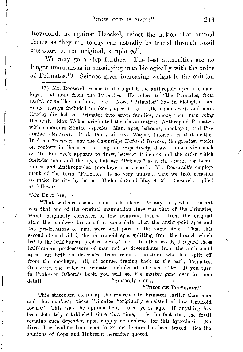Reymond, as against Haeckel, reject the notion that animal forms as they are to-day can actually be traced through fossil ancestors to the original, simple cell.

We may go a step further. The best authorities are no longer unanimous in classifying man biologically with the order of Primates.<sup>17</sup> Science gives increasing weight to the opinion

17) Mr. Roosevelt seems to distinguish the anthropoid apes, the mon· keys, and man from the Primates. He refers to "the Primates, from which came the monkeys," etc. Now, "Primates" has in biological language always included monkeys, apes (i. e., tailless monkeys), and man. Huxley divided the Primates into seven families, among them man being the first. Max Weber originated the classification: Anthropoid Primates, with suborders Simiac (species: Man, apes, baboons, monkeys), and Pro· simiae (lemurs). Prof. Dorn, of Fort Wayne, informs us that neither Brehm's *Tierleben* nor the *Cambridge Natural History*, the greatest works on zoology in German and English, respectively, draw a distinction such as Mr. Roosevelt appears to draw, between Primates and the order which includes man and the apes, but use "Primate" as a class name for Lemuroidea and Anthropoidea (monkeys, apes, man). Mr. Roosevelt's employment of the term "Primates" is so very unusual that we took occasion to make inquiry by letter. Under date of May 8, Mr. Roosevelt replied as follows: --

"MY DEAR SIR,-

I  $\int$ 

1·

l,

"That sentence seems to me to be clear. At any mte, what I meant was that one of the original mammalian lines was that of the Primates, which originally consisted of low lemuroid forms. From the original stem the monkeys broke ofT at some date when the anthropoid apes and the predecessors of man were still part of the same stem. Then this second stem divided, the anthropoid apes splitting from the branch which led to the half-human predecessors of man. In other words, I regard these half-human predecessors of man not as descendants from the anthropoid apes, but both as descended from remote ancestors, who had split off from the monkeys; all, of course, tracing back to the early Primates. Of course, the order of Primates includes all of them alike. If you turn to Professor Osborn's book, you will see the matter gone over in some detail. "Sincerely yours,

#### "TIIEODORE ROOSEVELT."

This statement clears up the reference to Primates earlier than man and the monkey; these Primates "originally consisted of low lemuroid forms." This was the opinion held fifteen years ago. If anything has been definitely established since that time, it is the fact that the fossil remains once depended upon supply no evidence for this hypothesis. No direct line leading from man to extinct lemurs has been traced. See the opinions of Cope and Hubrecht hereafter quoted.

*I*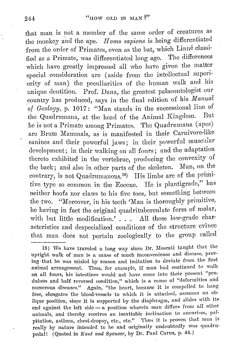that man is not a member of the same order of creatures as the monkey and the ape. *II orno sapiens* is being differentiated from the order of Primates, even as the bat, which Linné classified as a Primate, was differentiated long ago. The differences which have greatly impressed all· who have given the matter special consideration arc ( aside from the intellectual superiority of man) the pecnliarities of the human walk and his unique dentition. Prof. Dana, the greatest palaeontologist our \_country has produced, says in the final edition of his *Manual of Geology*, p. 1017: "Man stands in the successional line of the Oughlands of the Animal Kingdom. But the Quadrumana, at the head of the Animal Kingdom. he is not a Primate among Primates. The Quadrumana (apes) are Brute Mammals, as is manifested in their Carnivore-like canines and their powerful jaws; in their powerful muscular development; in their walking on all fonrs; and the adaptation thereto exhibited in the vertebrae, producing the convexity of the back; and also in other parts of the skeleton. Man, on the contrary, is not Quadrumanous.<sup>18</sup>) His limbs are of the primitive type so common in the Eocene. He is plantigrade," has neither hoofs nor claws to his five toes, but something between the two. "Moreover, in his teeth 'Man is thoroughly primitive, ho having in fact the original quadritnbercnlate form of molar, with but little modification.' . . . All these low-grade characteristics and despecialized conditions of the structure evince that man does not pertain zoologically to the group called

18) We have traveled a long way since Dr. Moscati taught that the upright walk of man is a cause of much inconvenience and disease, proving ·that he was misled by reason and imitation to deviate from the first animal arrangement. Thus, for example, if man had continued to walk on all fours, his intestines would not have come into their present "pendulous and half reversed condition," which is a cause of "deformities and numerous diseases." Again, "the heart, because it is compelled to hang free, elongates the blood-vessels to which it is attached, assumes an ob· lique position, since it is supported by the diaphragm, and slides with its end against the left side - a position wherein man differs from all other animals, and thereby receives an inevitable inclination to aneurism, palpitation, asthma, chest-dropsy, etc., etc." Thus it is proven that man is really by nature intended to be and originally undoubtedly was quadrupedal! (Quoted in *Kant and Spencer*, by Dr. Paul Carus, p. 44.)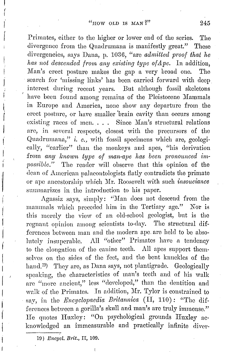Primates, either to the higher or lower end of the series. The divergence from the Quadrumana is manifestly great." These divergencies, says Dana, p. 1036, "are *admitted proof that he has not descended from any existing type of Ape.* In addition, Man's erect posture makes the gap a very broad one. The search for 'missing links' has been carried forward with deep interest during recent years. But although fossil skeletons have been found among remains of the Pleistocene Mammals in Europe and America, none show any departure from the erect posture, or have smaller 'brain cavity than occurs among existing races of men. . . . Since Man's structural relations arc, in several respects, closest with the precursors of tho Quadrurnana," *i. e.,* with fossil specimens which are, geologically, "earlier" than the monkeys and apes, "his derivation from *any known type of man-ape has been pronounced impossible."* Tho reader will observe that this opinion of the dean of American palaeontologists flatly contradicts the primate or ape ancestorship which Mr. Roosevelt with such *insouciance* summarizes in the introduction to his paper.

Agassiz says, simply: "Man does not descend from the mammals which preceded him in the Tertiary age." Nor is this merely the view of an old-school geologist, but is tho regnant opinion among scientists to-day. The structural differences between man and the modern ape. arc held to bo absolutely insuperable. All "other" Primates have a tendency to the elongation of the canine teeth. All apes support themselves on the sides of the feet, and the bent knuckles of the hand.<sup>19</sup>) They are, as Dana says, not plantigrade. Geologically speaking, the characteristics of man's teeth and of his walk are "more ancient," less "developed," than the dentition and walk of the Primates. In addition, Mr. Tylor is constrained to say, in tho *E'ncyclopaedia Britannica* (II, 110): "Tho differences between a gorilla's skull and man's are truly immense." He quotes Huxley: "On psychological grounds Huxley acknowledged an immeasurable and practically infinite diver-

10) *Enayal. Brit.,* II, 109.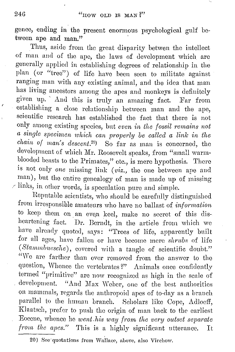gence, ending in tho present enormous psychological gulf between ape and man."

Thus, aside from tho great disparity betwen the intellect of man and of the apo, the laws of development which are generally applied in establishing degrees of relationship in the plan (or "tree") of life have been seen to militate against ranging man with any existing animal, and the idea that man has living ancestors among the apes and monkeys is definitely given up. And this is truly an amazing fact. Far from establishing a close relationship between man and the ape, scientific research has established the fact that there is not only among existing species, but *even in the fossil remains not a single specimen which can properly be called a link: in the chain of man's descent.* <sup>20</sup> So far as man is concerned, the development of which Mr. Roosevelt speaks, from "small warmblooded beasts to the Primates," etc., is mere hypothesis. There is not only *one* missing link (viz., the one between ape and man), but the entire genealogy of man is made up of missing  $\angle$  links, in other words, is speculation pure and simple.

Hepntable scientists, who should be carefully distinguished from irresponsible amateurs who have no ballast of *information*  to keep them on an even keel, make no secret of this disheartening fact. Dr. Berndt, in the article from which we have already quoted, says: "Trees of life, apparently built for all ages, have fallen or have become mere *shrubs* of life (Stammbuesche), covered with a tangle of scientific doubt." "We are farther than ever removed from the answer to the question, Whence the vertebrates?" Animals once confidently termed "primitive" arc now recognized as high in tho scale of development. "And Max Weber, one of the best authorities on mammals, regards the anthropoid apes of to-day as a branch parallel to the human branch. Scholars like Cope, Adloeff, Klaatsch, prefer to push the origin of man back to the earliest Eocene, whence he *went his way from the very outset separate from the apes."* This is a highly significant ntterancc. It

<sup>20)</sup> See quotations from Wallace, above, also Virchow.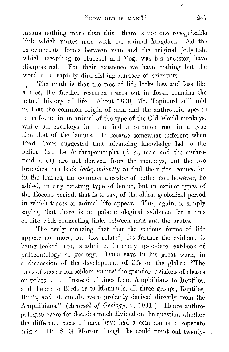means nothing more than this: there is not one recognizable link which unites man with the animal kingdom. All the intermediate forms between man and the original jelly-fish, which according to Haeckel and Vogt was his ancestor, have disappeared. For their existence we have nothing but the word of a rapidly diminishing number of scientists.

\ The truth is that the tree of life looks less and less like a tree, the farther research traces out in fossil remains the actual history of life. About 1890, Mr. Topinard still told us that the common origin of man and the anthropoid apes is to be found in an animal of the type of the Old World monkeys, while all monkeys in turn find a common root in a type like that of the lemurs. It became somewhat different when Prof. Cope suggested that advancing knowledge led to the belief that the Anthropomorpha (*i. e.*, man and the anthropoid apes) arc not derived from the monkeys, but the two branches run back *independently* to find their first connection in the lemurs, the common ancestor of both; not, however, he added, in any existing type of lemur, but in extinct types of the Eocene period, that is to say, of the oldest geological period in which traces of animal life appear. This, again, is simply saying that there is no palaeontological evidence for a tree of life with connecting links between man and the brutes.

The truly amazing fact that the various forms of life appear not more, but less related, the farther the evidence is being looked into, is admitted in every up-to-date text-book of palaeontology or geology. Dana says in his great work, in a discussion of the development of life on the globe: "The lines of succession seldom connect the grander divisions of classes or tribes. . . . Instead of lines from Amphibians to Reptiles, and thence to Birds or to Mammals, all three groups, Reptiles. Birds, and Mammals, were probably derived directly from the Amphibians." *(Manual of Geology; p. 1031.)* Hence anthropologists were for decades much divided on the question whether the different races of men have had a common or a separate origin. Dr. S. G. Morton thought he could point out twenty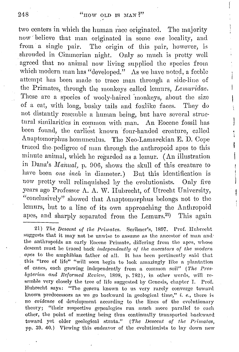two centers in which the human race originated. The majority now· believe that man originated in some *one* locality, aud from a single pair. The origin of this pair, however, is shrouded in Oimmorian night. Only so much is pretty well agreed that no animal now living supplied the species from which modern man has "developed." As we have noted, a feeble attempt has been made to trace man through a side-line of the Primates, through the monkeys called lemurs, *Lemuridae*. These arc a species of wooly-haired monkeys, about the size of a cat, with long, bushy tails and foxlikc faces. They do not distantly resemble a human being, but have several structural similarities in common with man. An Eocene fossil has been found, the carliest known four-handed creature, called Anaptomorphus homunculus. Tho Neo-Lamarckian E. D. Cope traced tho pedigree of man through the anthropoid apes to this minute animal, which he regarded as a lemur. ( An illustration in Dana's *Manual*, p. 906, shows the skull of this creature to have been *one inch* in diameter.) But this identification is now pretty well relinquished by the evolutionists. Only five years ago Professor A. A. W. Hubrecht, of Utrecht University, "conclusively" showed that Anaptomorphus belongs not to tho lemurs, but to a line of its own approaching the Anthropoid apes, and sharply separated from the Lemurs.<sup>21</sup>) This again

21) The Descent of the Primates. Scribner's, 1897. Prof. Hubrecht suggests that it may not be unwise to assume as the ancestor of man and the anthropoids an early Eocene Primate, differing from the apes, whose descent must be traced back *independently of the ancestors of the modern apes* to the amphibian father of all. It has been pertinently said that this "tree of life" "will soon begin to look amazingly like a plantation of canes, each growing independently from a common soil" ( *'l'he Presbyterian and Reformed Review,* 1808, p. 782), in other words, will resemble very closely the tree of life suggested by Genesis, chapter I. Prof. Hubrecht says: "The genera known to us very rarely converge toward known predecessors as we go backward in geological time," i. e., there is no *evidence* of development according to the lines of the evolutionary theory; "their respective gepealogies run much more. parallel to each other, the point of meeting being thus continually transported backward toward yet older geological strata." (The Descent of the Primates, pp. 39. 40.) Viewing this endeavor of the evolutionists to lay down new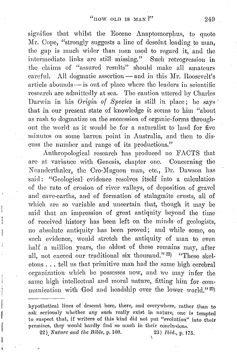signifies that whilst the Eocene Anaptomorphus, to quote Mr. Cope, "strongly suggests a line of descent leading to man, the gap is much wider than men used to regard it, and the intermediate links are still missing." Such retrogression in the claims of "assured results" should make all amateurs careful. All dogmatic assertion  $-$  and in this Mr. Roosevelt's article abounds — is out of place where the leaders in scientific research arc admittedly at sea. The caution uttered by Oharlcs Darwin in his *Origin of Species* is still in place; he says that in our present state of knowledge it seems to him "about as rash to dogmatize on the succession of organic,forms throughout the world as it would be for a naturalist to land for five minutes on some barren point in Australia, and then to discuss the number and range of its productions."

Anthropological research has produced no FACTS that arc at variance with Genesis, chapter one. Concerning the Neanderthaler, the Cro-Magnon man, etc., Dr. Dawson has said: "Geological evidence resolves itself into a calculation of the rate of erosion of river valleys, of deposition of gravel and cave-earths, and of formation of stalagmite crusts, all of which are so variable and uncertain that, though it may be said that an impression of great antiquity beyond the time of received history has been left on the minds of geologists, no absolute antiquity has been proved; and while some, on such evidence, would stretch the antiquity of man to even half a million years, the oldest of these remains may, after all, not exceed our traditional six thousand."<sup>22</sup>) "These skeletons ... tell ns that primitive man had the same high cerebral organization which he possesses now, and we may infer the same high intellectual and moral nature, fitting him for communication with God and headship over the lower world."  $^{23}$ )

hypothetical lines of descent here, there, nnd everywhere, rather than to ask seriously whether any such really exist in nature, one is tempted to suspect that, if writers of this kind did not put "evolution" into their premises, they would hardly find so much in their conclusions.

22) *Nature and the Bible, p.* 160. 23) *Ibid., p.* 175.